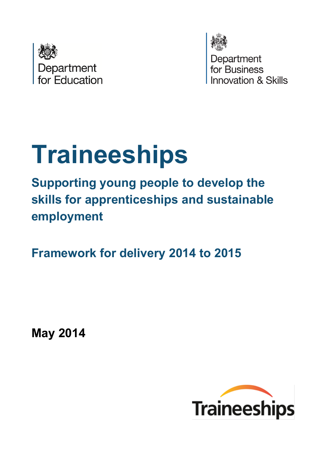



Department for Business wation & Skills

# **Traineeships**

**Supporting young people to develop the skills for apprenticeships and sustainable employment**

**Framework for delivery 2014 to 2015**

**May 2014** 

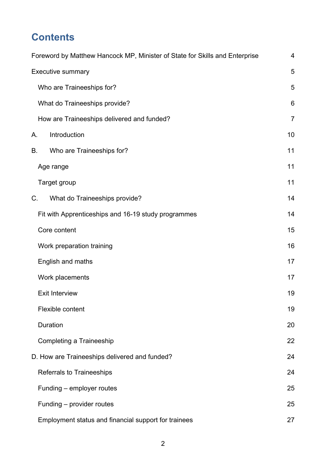# **Contents**

| Foreword by Matthew Hancock MP, Minister of State for Skills and Enterprise | 4              |  |  |  |
|-----------------------------------------------------------------------------|----------------|--|--|--|
| Executive summary                                                           | 5              |  |  |  |
| Who are Traineeships for?                                                   | 5              |  |  |  |
| What do Traineeships provide?                                               |                |  |  |  |
| How are Traineeships delivered and funded?                                  | $\overline{7}$ |  |  |  |
| Introduction<br>А.                                                          | 10             |  |  |  |
| Who are Traineeships for?<br>В.                                             | 11             |  |  |  |
| Age range                                                                   | 11             |  |  |  |
| Target group                                                                | 11             |  |  |  |
| What do Traineeships provide?<br>C.                                         | 14             |  |  |  |
| Fit with Apprenticeships and 16-19 study programmes                         | 14             |  |  |  |
| Core content                                                                | 15             |  |  |  |
| Work preparation training                                                   | 16             |  |  |  |
| English and maths                                                           | 17             |  |  |  |
| Work placements                                                             | 17             |  |  |  |
| <b>Exit Interview</b>                                                       | 19             |  |  |  |
| Flexible content                                                            | 19             |  |  |  |
| Duration                                                                    | 20             |  |  |  |
| Completing a Traineeship                                                    | 22             |  |  |  |
| D. How are Traineeships delivered and funded?                               | 24             |  |  |  |
| <b>Referrals to Traineeships</b>                                            | 24             |  |  |  |
| Funding - employer routes                                                   | 25             |  |  |  |
| Funding – provider routes                                                   | 25             |  |  |  |
| Employment status and financial support for trainees                        | 27             |  |  |  |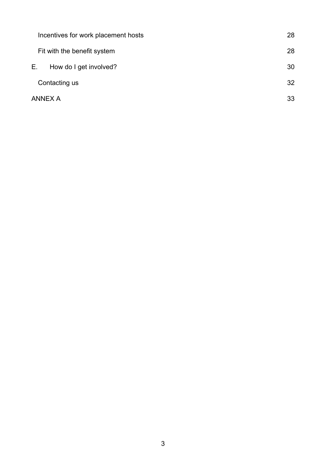| Incentives for work placement hosts | 28 |
|-------------------------------------|----|
| Fit with the benefit system         | 28 |
| Е.<br>How do I get involved?        | 30 |
| Contacting us                       | 32 |
| <b>ANNEX A</b>                      | 33 |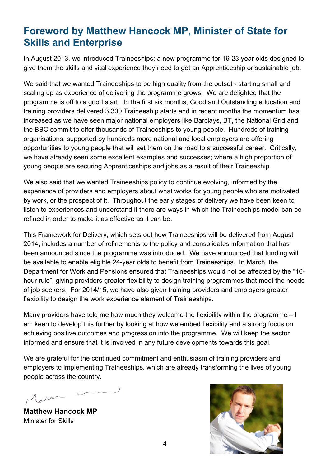# <span id="page-3-0"></span>**Foreword by Matthew Hancock MP, Minister of State for Skills and Enterprise**

In August 2013, we introduced Traineeships: a new programme for 16-23 year olds designed to give them the skills and vital experience they need to get an Apprenticeship or sustainable job.

We said that we wanted Traineeships to be high quality from the outset - starting small and scaling up as experience of delivering the programme grows. We are delighted that the programme is off to a good start. In the first six months, Good and Outstanding education and training providers delivered 3,300 Traineeship starts and in recent months the momentum has increased as we have seen major national employers like Barclays, BT, the National Grid and the BBC commit to offer thousands of Traineeships to young people. Hundreds of training organisations, supported by hundreds more national and local employers are offering opportunities to young people that will set them on the road to a successful career. Critically, we have already seen some excellent examples and successes; where a high proportion of young people are securing Apprenticeships and jobs as a result of their Traineeship.

We also said that we wanted Traineeships policy to continue evolving, informed by the experience of providers and employers about what works for young people who are motivated by work, or the prospect of it. Throughout the early stages of delivery we have been keen to listen to experiences and understand if there are ways in which the Traineeships model can be refined in order to make it as effective as it can be.

This Framework for Delivery, which sets out how Traineeships will be delivered from August 2014, includes a number of refinements to the policy and consolidates information that has been announced since the programme was introduced. We have announced that funding will be available to enable eligible 24-year olds to benefit from Traineeships. In March, the Department for Work and Pensions ensured that Traineeships would not be affected by the "16 hour rule", giving providers greater flexibility to design training programmes that meet the needs of job seekers. For 2014/15, we have also given training providers and employers greater flexibility to design the work experience element of Traineeships.

Many providers have told me how much they welcome the flexibility within the programme – I am keen to develop this further by looking at how we embed flexibility and a strong focus on achieving positive outcomes and progression into the programme. We will keep the sector informed and ensure that it is involved in any future developments towards this goal.

We are grateful for the continued commitment and enthusiasm of training providers and employers to implementing Traineeships, which are already transforming the lives of young people across the country.

**Matthew Hancock MP** Minister for Skills

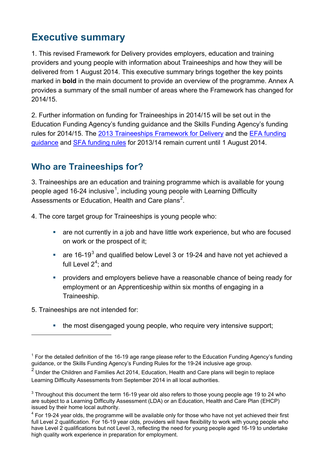## <span id="page-4-0"></span>**Executive summary**

1. This revised Framework for Delivery provides employers, education and training providers and young people with information about Traineeships and how they will be delivered from 1 August 2014. This executive summary brings together the key points marked in **bold** in the main document to provide an overview of the programme. Annex A provides a summary of the small number of areas where the Framework has changed for 2014/15.

2. Further information on funding for Traineeships in 2014/15 will be set out in the Education Funding Agency's funding guidance and the Skills Funding Agency's funding rules for 2014/15. The 2013 Traineeships [Framework for Delivery](https://www.gov.uk/government/uploads/system/uploads/attachment_data/file/223591/Traineeships-framework-July2013.pdf) and the [EFA funding](https://www.gov.uk/16-to-19-education-funding-guidance)  [guidance](https://www.gov.uk/16-to-19-education-funding-guidance) and [SFA funding rules](https://www.gov.uk/government/publications/sfa-funding-rules) for 2013/14 remain current until 1 August 2014.

## <span id="page-4-1"></span>**Who are Traineeships for?**

3. Traineeships are an education and training programme which is available for young people aged [1](#page-4-2)6-24 inclusive<sup>1</sup>, including young people with Learning Difficulty Assessments or Education, Health and Care plans<sup>[2](#page-4-3)</sup>.

4. The core target group for Traineeships is young people who:

- are not currently in a job and have little work experience, but who are focused on work or the prospect of it;
- are 16-19 $3$  and qualified below Level 3 or 19-24 and have not yet achieved a full Level  $2^4$  $2^4$ ; and
- **•** providers and employers believe have a reasonable chance of being ready for employment or an Apprenticeship within six months of engaging in a Traineeship.

5. Traineeships are not intended for:

 $\overline{a}$ 

• the most disengaged young people, who require very intensive support;

<span id="page-4-2"></span> $1$  For the detailed definition of the 16-19 age range please refer to the Education Funding Agency's funding guidance, or the Skills Funding Agency's Funding Rules for the 19-24 inclusive age group.

<span id="page-4-3"></span> $2$  Under the Children and Families Act 2014, Education, Health and Care plans will begin to replace Learning Difficulty Assessments from September 2014 in all local authorities.

<span id="page-4-4"></span> $3$  Throughout this document the term 16-19 year old also refers to those young people age 19 to 24 who are subject to a Learning Difficulty Assessment (LDA) or an Education, Health and Care Plan (EHCP) issued by their home local authority.

<span id="page-4-5"></span> $4$  For 19-24 year olds, the programme will be available only for those who have not yet achieved their first full Level 2 qualification. For 16-19 year olds, providers will have flexibility to work with young people who have Level 2 qualifications but not Level 3, reflecting the need for young people aged 16-19 to undertake high quality work experience in preparation for employment.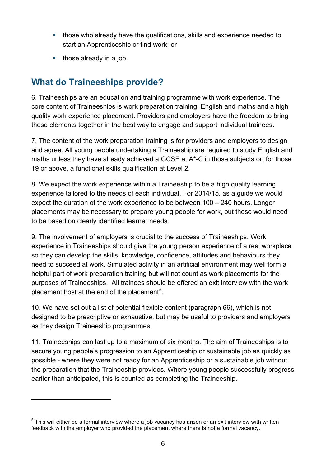- those who already have the qualifications, skills and experience needed to start an Apprenticeship or find work; or
- $\blacksquare$  those already in a job.

 $\overline{a}$ 

## <span id="page-5-0"></span>**What do Traineeships provide?**

6. Traineeships are an education and training programme with work experience. The core content of Traineeships is work preparation training, English and maths and a high quality work experience placement. Providers and employers have the freedom to bring these elements together in the best way to engage and support individual trainees.

7. The content of the work preparation training is for providers and employers to design and agree. All young people undertaking a Traineeship are required to study English and maths unless they have already achieved a GCSE at A\*-C in those subjects or, for those 19 or above, a functional skills qualification at Level 2.

8. We expect the work experience within a Traineeship to be a high quality learning experience tailored to the needs of each individual. For 2014/15, as a guide we would expect the duration of the work experience to be between 100 – 240 hours. Longer placements may be necessary to prepare young people for work, but these would need to be based on clearly identified learner needs.

9. The involvement of employers is crucial to the success of Traineeships. Work experience in Traineeships should give the young person experience of a real workplace so they can develop the skills, knowledge, confidence, attitudes and behaviours they need to succeed at work. Simulated activity in an artificial environment may well form a helpful part of work preparation training but will not count as work placements for the purposes of Traineeships. All trainees should be offered an exit interview with the work placement host at the end of the placement<sup>[5](#page-5-1)</sup>.

10. We have set out a list of potential flexible content (paragraph 66), which is not designed to be prescriptive or exhaustive, but may be useful to providers and employers as they design Traineeship programmes.

11. Traineeships can last up to a maximum of six months. The aim of Traineeships is to secure young people's progression to an Apprenticeship or sustainable job as quickly as possible - where they were not ready for an Apprenticeship or a sustainable job without the preparation that the Traineeship provides. Where young people successfully progress earlier than anticipated, this is counted as completing the Traineeship.

<span id="page-5-1"></span> $5$  This will either be a formal interview where a job vacancy has arisen or an exit interview with written feedback with the employer who provided the placement where there is not a formal vacancy.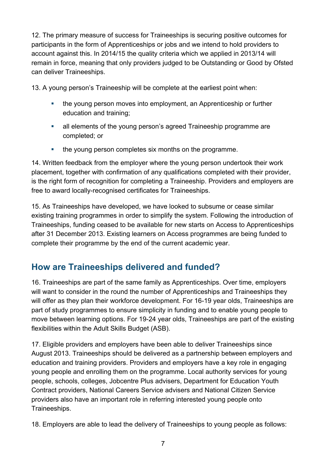12. The primary measure of success for Traineeships is securing positive outcomes for participants in the form of Apprenticeships or jobs and we intend to hold providers to account against this. In 2014/15 the quality criteria which we applied in 2013/14 will remain in force, meaning that only providers judged to be Outstanding or Good by Ofsted can deliver Traineeships.

13. A young person's Traineeship will be complete at the earliest point when:

- the young person moves into employment, an Apprenticeship or further education and training;
- all elements of the young person's agreed Traineeship programme are completed; or
- the young person completes six months on the programme.

14. Written feedback from the employer where the young person undertook their work placement, together with confirmation of any qualifications completed with their provider, is the right form of recognition for completing a Traineeship. Providers and employers are free to award locally-recognised certificates for Traineeships.

15. As Traineeships have developed, we have looked to subsume or cease similar existing training programmes in order to simplify the system. Following the introduction of Traineeships, funding ceased to be available for new starts on Access to Apprenticeships after 31 December 2013. Existing learners on Access programmes are being funded to complete their programme by the end of the current academic year.

## <span id="page-6-0"></span>**How are Traineeships delivered and funded?**

16. Traineeships are part of the same family as Apprenticeships. Over time, employers will want to consider in the round the number of Apprenticeships and Traineeships they will offer as they plan their workforce development. For 16-19 year olds, Traineeships are part of study programmes to ensure simplicity in funding and to enable young people to move between learning options. For 19-24 year olds, Traineeships are part of the existing flexibilities within the Adult Skills Budget (ASB).

17. Eligible providers and employers have been able to deliver Traineeships since August 2013. Traineeships should be delivered as a partnership between employers and education and training providers. Providers and employers have a key role in engaging young people and enrolling them on the programme. Local authority services for young people, schools, colleges, Jobcentre Plus advisers, Department for Education Youth Contract providers, National Careers Service advisers and National Citizen Service providers also have an important role in referring interested young people onto Traineeships.

18. Employers are able to lead the delivery of Traineeships to young people as follows: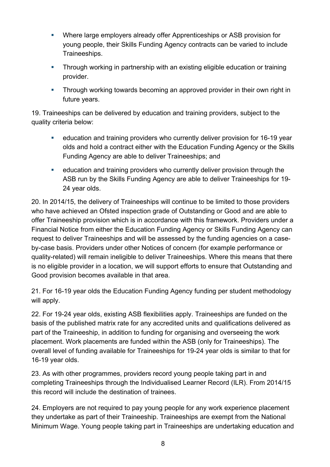- Where large employers already offer Apprenticeships or ASB provision for young people, their Skills Funding Agency contracts can be varied to include Traineeships.
- Through working in partnership with an existing eligible education or training provider.
- **Through working towards becoming an approved provider in their own right in** future years.

19. Traineeships can be delivered by education and training providers, subject to the quality criteria below:

- education and training providers who currently deliver provision for 16-19 year olds and hold a contract either with the Education Funding Agency or the Skills Funding Agency are able to deliver Traineeships; and
- education and training providers who currently deliver provision through the ASB run by the Skills Funding Agency are able to deliver Traineeships for 19- 24 year olds.

20. In 2014/15, the delivery of Traineeships will continue to be limited to those providers who have achieved an Ofsted inspection grade of Outstanding or Good and are able to offer Traineeship provision which is in accordance with this framework. Providers under a Financial Notice from either the Education Funding Agency or Skills Funding Agency can request to deliver Traineeships and will be assessed by the funding agencies on a caseby-case basis. Providers under other Notices of concern (for example performance or quality-related) will remain ineligible to deliver Traineeships. Where this means that there is no eligible provider in a location, we will support efforts to ensure that Outstanding and Good provision becomes available in that area.

21. For 16-19 year olds the Education Funding Agency funding per student methodology will apply.

22. For 19-24 year olds, existing ASB flexibilities apply. Traineeships are funded on the basis of the published matrix rate for any accredited units and qualifications delivered as part of the Traineeship, in addition to funding for organising and overseeing the work placement. Work placements are funded within the ASB (only for Traineeships). The overall level of funding available for Traineeships for 19-24 year olds is similar to that for 16-19 year olds.

23. As with other programmes, providers record young people taking part in and completing Traineeships through the Individualised Learner Record (ILR). From 2014/15 this record will include the destination of trainees.

24. Employers are not required to pay young people for any work experience placement they undertake as part of their Traineeship. Traineeships are exempt from the National Minimum Wage. Young people taking part in Traineeships are undertaking education and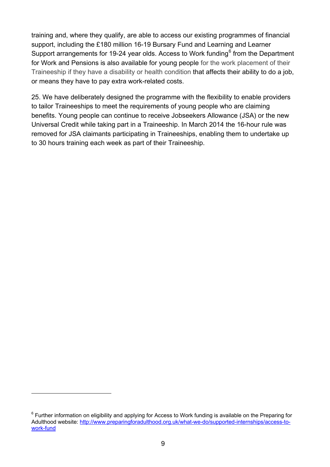training and, where they qualify, are able to access our existing programmes of financial support, including the £180 million 16-19 Bursary Fund and Learning and Learner Support arrangements for 19-24 year olds. Access to Work funding<sup>[6](#page-8-0)</sup> from the Department for Work and Pensions is also available for young people for the work placement of their Traineeship if they have a disability or health condition that affects their ability to do a job, or means they have to pay extra work-related costs.

25. We have deliberately designed the programme with the flexibility to enable providers to tailor Traineeships to meet the requirements of young people who are claiming benefits. Young people can continue to receive Jobseekers Allowance (JSA) or the new Universal Credit while taking part in a Traineeship. In March 2014 the 16-hour rule was removed for JSA claimants participating in Traineeships, enabling them to undertake up to 30 hours training each week as part of their Traineeship.

 $\overline{a}$ 

<span id="page-8-0"></span><sup>&</sup>lt;sup>6</sup> Further information on eligibility and applying for Access to Work funding is available on the Preparing for Adulthood website: [http://www.preparingforadulthood.org.uk/what-we-do/supported-internships/access-to](http://www.preparingforadulthood.org.uk/what-we-do/supported-internships/access-to-work-fund)[work-fund](http://www.preparingforadulthood.org.uk/what-we-do/supported-internships/access-to-work-fund)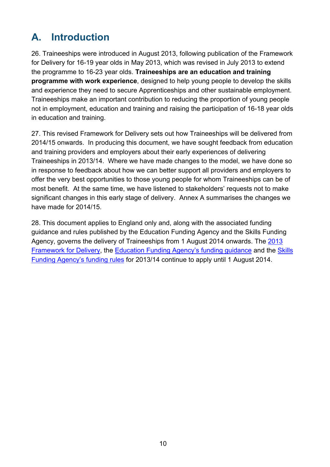# <span id="page-9-0"></span>**A. Introduction**

26. Traineeships were introduced in August 2013, following publication of the Framework for Delivery for 16-19 year olds in May 2013, which was revised in July 2013 to extend the programme to 16-23 year olds. **Traineeships are an education and training programme with work experience**, designed to help young people to develop the skills and experience they need to secure Apprenticeships and other sustainable employment. Traineeships make an important contribution to reducing the proportion of young people not in employment, education and training and raising the participation of 16-18 year olds in education and training.

27. This revised Framework for Delivery sets out how Traineeships will be delivered from 2014/15 onwards. In producing this document, we have sought feedback from education and training providers and employers about their early experiences of delivering Traineeships in 2013/14. Where we have made changes to the model, we have done so in response to feedback about how we can better support all providers and employers to offer the very best opportunities to those young people for whom Traineeships can be of most benefit. At the same time, we have listened to stakeholders' requests not to make significant changes in this early stage of delivery. Annex A summarises the changes we have made for 2014/15.

28. This document applies to England only and, along with the associated funding guidance and rules published by the Education Funding Agency and the Skills Funding Agency, governs the delivery of Traineeships from 1 August 2014 onwards. The [2013](https://www.gov.uk/government/uploads/system/uploads/attachment_data/file/223591/Traineeships-framework-July2013.pdf)  [Framework for Delivery,](https://www.gov.uk/government/uploads/system/uploads/attachment_data/file/223591/Traineeships-framework-July2013.pdf) the [Education Funding Agency's funding guidance](https://www.gov.uk/16-to-19-education-funding-guidance) and the [Skills](https://www.gov.uk/government/publications/sfa-funding-rules)  [Funding Agency's funding rules](https://www.gov.uk/government/publications/sfa-funding-rules) for 2013/14 continue to apply until 1 August 2014.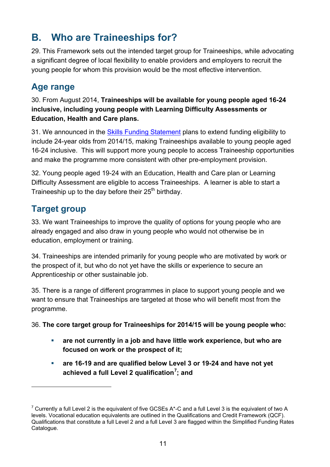# <span id="page-10-0"></span>**B. Who are Traineeships for?**

29. This Framework sets out the intended target group for Traineeships, while advocating a significant degree of local flexibility to enable providers and employers to recruit the young people for whom this provision would be the most effective intervention.

## <span id="page-10-1"></span>**Age range**

30. From August 2014, **Traineeships will be available for young people aged 16-24 inclusive, including young people with Learning Difficulty Assessments or Education, Health and Care plans.**

31. We announced in the [Skills Funding Statement](https://www.gov.uk/government/publications/skills-funding-statement-2013-to-2016) plans to extend funding eligibility to include 24-year olds from 2014/15, making Traineeships available to young people aged 16-24 inclusive. This will support more young people to access Traineeship opportunities and make the programme more consistent with other pre-employment provision.

32. Young people aged 19-24 with an Education, Health and Care plan or Learning Difficulty Assessment are eligible to access Traineeships. A learner is able to start a Traineeship up to the day before their  $25<sup>th</sup>$  birthday.

## <span id="page-10-2"></span>**Target group**

 $\overline{a}$ 

33. We want Traineeships to improve the quality of options for young people who are already engaged and also draw in young people who would not otherwise be in education, employment or training.

34. Traineeships are intended primarily for young people who are motivated by work or the prospect of it, but who do not yet have the skills or experience to secure an Apprenticeship or other sustainable job.

35. There is a range of different programmes in place to support young people and we want to ensure that Traineeships are targeted at those who will benefit most from the programme.

36. **The core target group for Traineeships for 2014/15 will be young people who:**

- **are not currently in a job and have little work experience, but who are focused on work or the prospect of it;**
- **are 16-19 and are qualified below Level 3 or 19-24 and have not yet achieved a full Level 2 qualification[7](#page-10-3) ; and**

<span id="page-10-3"></span> $7$  Currently a full Level 2 is the equivalent of five GCSEs A\*-C and a full Level 3 is the equivalent of two A levels. Vocational education equivalents are outlined in the Qualifications and Credit Framework (QCF). Qualifications that constitute a full Level 2 and a full Level 3 are flagged within the Simplified Funding Rates Catalogue.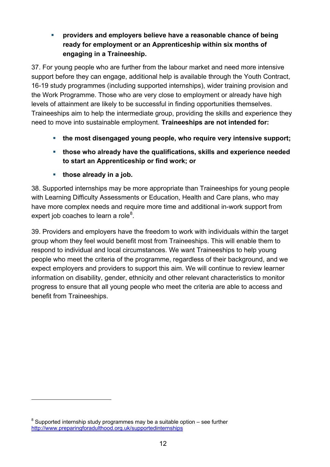#### **providers and employers believe have a reasonable chance of being ready for employment or an Apprenticeship within six months of engaging in a Traineeship.**

37. For young people who are further from the labour market and need more intensive support before they can engage, additional help is available through the Youth Contract, 16-19 study programmes (including supported internships), wider training provision and the Work Programme. Those who are very close to employment or already have high levels of attainment are likely to be successful in finding opportunities themselves. Traineeships aim to help the intermediate group, providing the skills and experience they need to move into sustainable employment. **Traineeships are not intended for:**

- **the most disengaged young people, who require very intensive support;**
- **those who already have the qualifications, skills and experience needed to start an Apprenticeship or find work; or**
- **those already in a job.**

38. Supported internships may be more appropriate than Traineeships for young people with Learning Difficulty Assessments or Education, Health and Care plans, who may have more complex needs and require more time and additional in-work support from expert job coaches to learn a role $^8$  $^8$ .

39. Providers and employers have the freedom to work with individuals within the target group whom they feel would benefit most from Traineeships. This will enable them to respond to individual and local circumstances. We want Traineeships to help young people who meet the criteria of the programme, regardless of their background, and we expect employers and providers to support this aim. We will continue to review learner information on disability, gender, ethnicity and other relevant characteristics to monitor progress to ensure that all young people who meet the criteria are able to access and benefit from Traineeships.

 $\overline{a}$ 

<span id="page-11-0"></span> $8$  Supported internship study programmes may be a suitable option – see further <http://www.preparingforadulthood.org.uk/supportedinternships>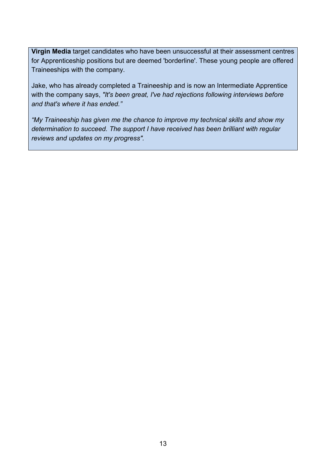**Virgin Media** target candidates who have been unsuccessful at their assessment centres for Apprenticeship positions but are deemed 'borderline'. These young people are offered Traineeships with the company.

Jake, who has already completed a Traineeship and is now an Intermediate Apprentice with the company says, *"It's been great, I've had rejections following interviews before and that's where it has ended."*

*"My Traineeship has given me the chance to improve my technical skills and show my determination to succeed. The support I have received has been brilliant with regular reviews and updates on my progress".*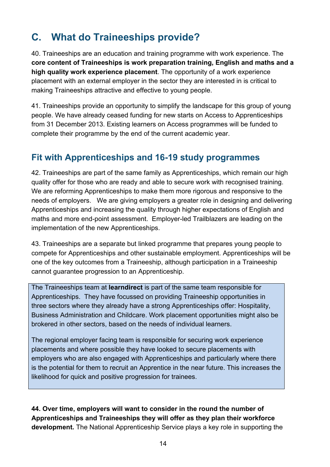# <span id="page-13-0"></span>**C. What do Traineeships provide?**

40. Traineeships are an education and training programme with work experience. The **core content of Traineeships is work preparation training, English and maths and a high quality work experience placement**. The opportunity of a work experience placement with an external employer in the sector they are interested in is critical to making Traineeships attractive and effective to young people.

41. Traineeships provide an opportunity to simplify the landscape for this group of young people. We have already ceased funding for new starts on Access to Apprenticeships from 31 December 2013. Existing learners on Access programmes will be funded to complete their programme by the end of the current academic year.

#### <span id="page-13-1"></span>**Fit with Apprenticeships and 16-19 study programmes**

42. Traineeships are part of the same family as Apprenticeships, which remain our high quality offer for those who are ready and able to secure work with recognised training. We are reforming Apprenticeships to make them more rigorous and responsive to the needs of employers. We are giving employers a greater role in designing and delivering Apprenticeships and increasing the quality through higher expectations of English and maths and more end-point assessment. Employer-led Trailblazers are leading on the implementation of the new Apprenticeships.

43. Traineeships are a separate but linked programme that prepares young people to compete for Apprenticeships and other sustainable employment. Apprenticeships will be one of the key outcomes from a Traineeship, although participation in a Traineeship cannot guarantee progression to an Apprenticeship.

The Traineeships team at **learndirect** is part of the same team responsible for Apprenticeships. They have focussed on providing Traineeship opportunities in three sectors where they already have a strong Apprenticeships offer: Hospitality, Business Administration and Childcare. Work placement opportunities might also be brokered in other sectors, based on the needs of individual learners.

The regional employer facing team is responsible for securing work experience placements and where possible they have looked to secure placements with employers who are also engaged with Apprenticeships and particularly where there is the potential for them to recruit an Apprentice in the near future. This increases the likelihood for quick and positive progression for trainees.

**44. Over time, employers will want to consider in the round the number of Apprenticeships and Traineeships they will offer as they plan their workforce development.** The National Apprenticeship Service plays a key role in supporting the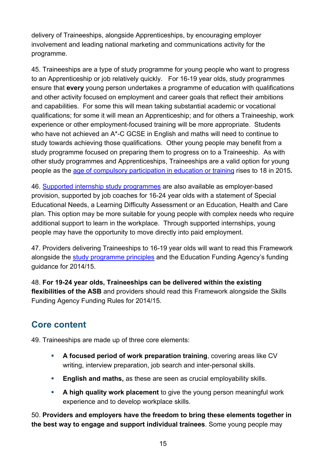delivery of Traineeships, alongside Apprenticeships, by encouraging employer involvement and leading national marketing and communications activity for the programme.

45. Traineeships are a type of study programme for young people who want to progress to an Apprenticeship or job relatively quickly. For 16-19 year olds, study programmes ensure that **every** young person undertakes a programme of education with qualifications and other activity focused on employment and career goals that reflect their ambitions and capabilities. For some this will mean taking substantial academic or vocational qualifications; for some it will mean an Apprenticeship; and for others a Traineeship, work experience or other employment-focused training will be more appropriate. Students who have not achieved an A\*-C GCSE in English and maths will need to continue to study towards achieving those qualifications. Other young people may benefit from a study programme focused on preparing them to progress on to a Traineeship. As with other study programmes and Apprenticeships, Traineeships are a valid option for young people as the [age of compulsory participation in education or training](https://www.gov.uk/government/publications/participation-of-young-people-education-employment-and-training) rises to 18 in 2015**.** 

46. [Supported internship study programmes](http://www.preparingforadulthood.org.uk/supportedinternships) are also available as employer-based provision, supported by job coaches for 16-24 year olds with a statement of Special Educational Needs, a Learning Difficulty Assessment or an Education, Health and Care plan. This option may be more suitable for young people with complex needs who require additional support to learn in the workplace. Through supported internships, young people may have the opportunity to move directly into paid employment.

47. Providers delivering Traineeships to 16-19 year olds will want to read this Framework alongside the [study programme principles](https://www.gov.uk/government/publications/16-to-19-study-programmes-advice-for-further-education-colleges) and the Education Funding Agency's funding guidance for 2014/15.

48. **For 19-24 year olds, Traineeships can be delivered within the existing flexibilities of the ASB** and providers should read this Framework alongside the Skills Funding Agency Funding Rules for 2014/15.

#### <span id="page-14-0"></span>**Core content**

49. Traineeships are made up of three core elements:

- **A focused period of work preparation training**, covering areas like CV writing, interview preparation, job search and inter-personal skills.
- **English and maths,** as these are seen as crucial employability skills.
- **A high quality work placement** to give the young person meaningful work experience and to develop workplace skills.

50. **Providers and employers have the freedom to bring these elements together in the best way to engage and support individual trainees**. Some young people may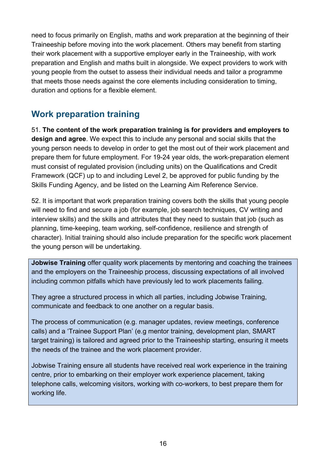need to focus primarily on English, maths and work preparation at the beginning of their Traineeship before moving into the work placement. Others may benefit from starting their work placement with a supportive employer early in the Traineeship, with work preparation and English and maths built in alongside. We expect providers to work with young people from the outset to assess their individual needs and tailor a programme that meets those needs against the core elements including consideration to timing, duration and options for a flexible element.

#### <span id="page-15-0"></span>**Work preparation training**

51. **The content of the work preparation training is for providers and employers to design and agree**. We expect this to include any personal and social skills that the young person needs to develop in order to get the most out of their work placement and prepare them for future employment. For 19-24 year olds, the work-preparation element must consist of regulated provision (including units) on the Qualifications and Credit Framework (QCF) up to and including Level 2, be approved for public funding by the Skills Funding Agency, and be listed on the Learning Aim Reference Service.

52. It is important that work preparation training covers both the skills that young people will need to find and secure a job (for example, job search techniques, CV writing and interview skills) and the skills and attributes that they need to sustain that job (such as planning, time-keeping, team working, self-confidence, resilience and strength of character). Initial training should also include preparation for the specific work placement the young person will be undertaking.

**Jobwise Training** offer quality work placements by mentoring and coaching the trainees and the employers on the Traineeship process, discussing expectations of all involved including common pitfalls which have previously led to work placements failing.

They agree a structured process in which all parties, including Jobwise Training, communicate and feedback to one another on a regular basis.

The process of communication (e.g. manager updates, review meetings, conference calls) and a 'Trainee Support Plan' (e.g mentor training, development plan, SMART target training) is tailored and agreed prior to the Traineeship starting, ensuring it meets the needs of the trainee and the work placement provider.

Jobwise Training ensure all students have received real work experience in the training centre, prior to embarking on their employer work experience placement, taking telephone calls, welcoming visitors, working with co-workers, to best prepare them for working life.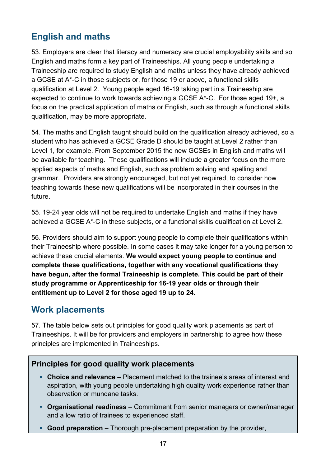## <span id="page-16-0"></span>**English and maths**

53. Employers are clear that literacy and numeracy are crucial employability skills and so English and maths form a key part of Traineeships. All young people undertaking a Traineeship are required to study English and maths unless they have already achieved a GCSE at A\*-C in those subjects or, for those 19 or above, a functional skills qualification at Level 2. Young people aged 16-19 taking part in a Traineeship are expected to continue to work towards achieving a GCSE A\*-C. For those aged 19+, a focus on the practical application of maths or English, such as through a functional skills qualification, may be more appropriate.

54. The maths and English taught should build on the qualification already achieved, so a student who has achieved a GCSE Grade D should be taught at Level 2 rather than Level 1, for example. From September 2015 the new GCSEs in English and maths will be available for teaching. These qualifications will include a greater focus on the more applied aspects of maths and English, such as problem solving and spelling and grammar. Providers are strongly encouraged, but not yet required, to consider how teaching towards these new qualifications will be incorporated in their courses in the future.

55. 19-24 year olds will not be required to undertake English and maths if they have achieved a GCSE A\*-C in these subjects, or a functional skills qualification at Level 2.

56. Providers should aim to support young people to complete their qualifications within their Traineeship where possible. In some cases it may take longer for a young person to achieve these crucial elements. **We would expect young people to continue and complete these qualifications, together with any vocational qualifications they have begun, after the formal Traineeship is complete. This could be part of their study programme or Apprenticeship for 16-19 year olds or through their entitlement up to Level 2 for those aged 19 up to 24.**

## <span id="page-16-1"></span>**Work placements**

57. The table below sets out principles for good quality work placements as part of Traineeships. It will be for providers and employers in partnership to agree how these principles are implemented in Traineeships.

#### **Principles for good quality work placements**

- **Choice and relevance** Placement matched to the trainee's areas of interest and aspiration, with young people undertaking high quality work experience rather than observation or mundane tasks.
- **Organisational readiness** Commitment from senior managers or owner/manager and a low ratio of trainees to experienced staff.
- **Good preparation** Thorough pre-placement preparation by the provider,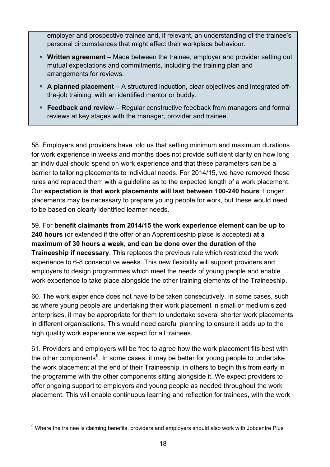employer and prospective trainee and, if relevant, an understanding of the trainee's personal circumstances that might affect their workplace behaviour.

- **Written agreement** Made between the trainee, employer and provider setting out mutual expectations and commitments, including the training plan and arrangements for reviews.
- **A planned placement** A structured induction, clear objectives and integrated offthe-job training, with an identified mentor or buddy.
- **Feedback and review**  Regular constructive feedback from managers and formal reviews at key stages with the manager, provider and trainee.

58. Employers and providers have told us that setting minimum and maximum durations for work experience in weeks and months does not provide sufficient clarity on how long an individual should spend on work experience and that these parameters can be a barrier to tailoring placements to individual needs. For 2014/15, we have removed these rules and replaced them with a guideline as to the expected length of a work placement. Our **expectation is that work placements will last between 100-240 hours**. Longer placements may be necessary to prepare young people for work, but these would need to be based on clearly identified learner needs.

59. For **benefit claimants from 2014/15 the work experience element can be up to 240 hours** (or extended if the offer of an Apprenticeship place is accepted) **at a maximum of 30 hours a week**, **and can be done over the duration of the Traineeship if necessary**. This replaces the previous rule which restricted the work experience to 6-8 consecutive weeks. This new flexibility will support providers and employers to design programmes which meet the needs of young people and enable work experience to take place alongside the other training elements of the Traineeship.

60. The work experience does not have to be taken consecutively. In some cases, such as where young people are undertaking their work placement in small or medium sized enterprises, it may be appropriate for them to undertake several shorter work placements in different organisations. This would need careful planning to ensure it adds up to the high quality work experience we expect for all trainees.

61. Providers and employers will be free to agree how the work placement fits best with the other components<sup>[9](#page-17-0)</sup>. In some cases, it may be better for young people to undertake the work placement at the end of their Traineeship, in others to begin this from early in the programme with the other components sitting alongside it. We expect providers to offer ongoing support to employers and young people as needed throughout the work placement. This will enable continuous learning and reflection for trainees, with the work

 $\overline{a}$ 

<span id="page-17-0"></span> $9$  Where the trainee is claiming benefits, providers and employers should also work with Jobcentre Plus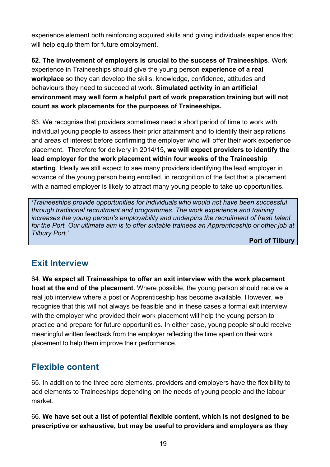experience element both reinforcing acquired skills and giving individuals experience that will help equip them for future employment.

**62. The involvement of employers is crucial to the success of Traineeships**. Work experience in Traineeships should give the young person **experience of a real workplace** so they can develop the skills, knowledge, confidence, attitudes and behaviours they need to succeed at work. **Simulated activity in an artificial environment may well form a helpful part of work preparation training but will not count as work placements for the purposes of Traineeships.**

63. We recognise that providers sometimes need a short period of time to work with individual young people to assess their prior attainment and to identify their aspirations and areas of interest before confirming the employer who will offer their work experience placement. Therefore for delivery in 2014/15, **we will expect providers to identify the lead employer for the work placement within four weeks of the Traineeship starting**. Ideally we still expect to see many providers identifying the lead employer in advance of the young person being enrolled, in recognition of the fact that a placement with a named employer is likely to attract many young people to take up opportunities.

*'Traineeships provide opportunities for individuals who would not have been successful through traditional recruitment and programmes. The work experience and training increases the young person's employability and underpins the recruitment of fresh talent for the Port. Our ultimate aim is to offer suitable trainees an Apprenticeship or other job at Tilbury Port.'*

**Port of Tilbury**

## <span id="page-18-0"></span>**Exit Interview**

64. **We expect all Traineeships to offer an exit interview with the work placement host at the end of the placement**. Where possible, the young person should receive a real job interview where a post or Apprenticeship has become available. However, we recognise that this will not always be feasible and in these cases a formal exit interview with the employer who provided their work placement will help the young person to practice and prepare for future opportunities. In either case, young people should receive meaningful written feedback from the employer reflecting the time spent on their work placement to help them improve their performance.

## <span id="page-18-1"></span>**Flexible content**

65. In addition to the three core elements, providers and employers have the flexibility to add elements to Traineeships depending on the needs of young people and the labour market.

#### 66. **We have set out a list of potential flexible content, which is not designed to be prescriptive or exhaustive, but may be useful to providers and employers as they**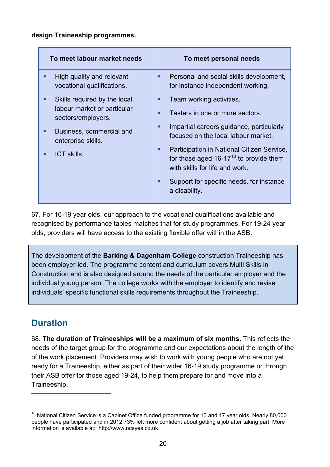#### **design Traineeship programmes.**

| To meet labour market needs                                                            | To meet personal needs                                                                                                           |
|----------------------------------------------------------------------------------------|----------------------------------------------------------------------------------------------------------------------------------|
| High quality and relevant<br>п<br>vocational qualifications.                           | Personal and social skills development,<br>п<br>for instance independent working.                                                |
| Skills required by the local<br>п<br>labour market or particular<br>sectors/employers. | Team working activities.<br>П                                                                                                    |
|                                                                                        | Tasters in one or more sectors.<br>п                                                                                             |
| Business, commercial and<br>п<br>enterprise skills.                                    | Impartial careers guidance, particularly<br>П<br>focused on the local labour market.                                             |
| ICT skills.<br>п                                                                       | Participation in National Citizen Service,<br>■<br>for those aged $16-17^{10}$ to provide them<br>with skills for life and work. |
|                                                                                        | Support for specific needs, for instance<br>п<br>a disability.                                                                   |

67. For 16-19 year olds, our approach to the vocational qualifications available and recognised by performance tables matches that for study programmes. For 19-24 year olds, providers will have access to the existing flexible offer within the ASB.

The development of the **Barking & Dagenham College** construction Traineeship has been employer-led. The programme content and curriculum covers Multi Skills in Construction and is also designed around the needs of the particular employer and the individual young person. The college works with the employer to identify and revise individuals' specific functional skills requirements throughout the Traineeship.

## <span id="page-19-0"></span>**Duration**

 $\overline{a}$ 

68. **The duration of Traineeships will be a maximum of six months**. This reflects the needs of the target group for the programme and our expectations about the length of the of the work placement. Providers may wish to work with young people who are not yet ready for a Traineeship, either as part of their wider 16-19 study programme or through their ASB offer for those aged 19-24, to help them prepare for and move into a Traineeship.

<span id="page-19-1"></span> $10$  National Citizen Service is a Cabinet Office funded programme for 16 and 17 year olds. Nearly 80,000 people have participated and in 2012 73% felt more confident about getting a job after taking part. More information is available at: [http://www.ncsyes.co.uk.](http://www.ncsyes.co.uk/)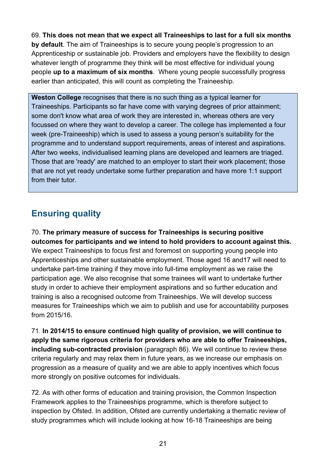69. **This does not mean that we expect all Traineeships to last for a full six months by default**. The aim of Traineeships is to secure young people's progression to an Apprenticeship or sustainable job. Providers and employers have the flexibility to design whatever length of programme they think will be most effective for individual young people **up to a maximum of six months**. Where young people successfully progress earlier than anticipated, this will count as completing the Traineeship.

**Weston College** recognises that there is no such thing as a typical learner for Traineeships. Participants so far have come with varying degrees of prior attainment; some don't know what area of work they are interested in, whereas others are very focussed on where they want to develop a career. The college has implemented a four week (pre-Traineeship) which is used to assess a young person's suitability for the programme and to understand support requirements, areas of interest and aspirations. After two weeks, individualised learning plans are developed and learners are triaged. Those that are 'ready' are matched to an employer to start their work placement; those that are not yet ready undertake some further preparation and have more 1:1 support from their tutor.

## **Ensuring quality**

70. **The primary measure of success for Traineeships is securing positive outcomes for participants and we intend to hold providers to account against this.** We expect Traineeships to focus first and foremost on supporting young people into Apprenticeships and other sustainable employment. Those aged 16 and17 will need to undertake part-time training if they move into full-time employment as we raise the participation age. We also recognise that some trainees will want to undertake further study in order to achieve their employment aspirations and so further education and training is also a recognised outcome from Traineeships. We will develop success measures for Traineeships which we aim to publish and use for accountability purposes from 2015/16.

71. **In 2014/15 to ensure continued high quality of provision, we will continue to apply the same rigorous criteria for providers who are able to offer Traineeships, including sub-contracted provision** (paragraph 86). We will continue to review these criteria regularly and may relax them in future years, as we increase our emphasis on progression as a measure of quality and we are able to apply incentives which focus more strongly on positive outcomes for individuals.

72. As with other forms of education and training provision, the Common Inspection Framework applies to the Traineeships programme, which is therefore subject to inspection by Ofsted. In addition, Ofsted are currently undertaking a thematic review of study programmes which will include looking at how 16-18 Traineeships are being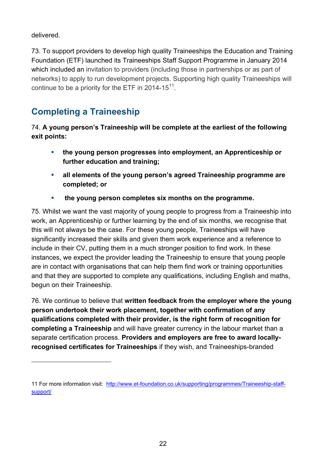delivered.

 $\overline{a}$ 

73. To support providers to develop high quality Traineeships the Education and Training Foundation (ETF) launched its Traineeships Staff Support Programme in January 2014 which included an invitation to providers (including those in partnerships or as part of networks) to apply to run development projects. Supporting high quality Traineeships will continue to be a priority for the ETF in 2014-15 $^{11}$  $^{11}$  $^{11}$ .

# <span id="page-21-0"></span>**Completing a Traineeship**

74. **A young person's Traineeship will be complete at the earliest of the following exit points:**

- **the young person progresses into employment, an Apprenticeship or further education and training;**
- **all elements of the young person's agreed Traineeship programme are completed; or**
- **the young person completes six months on the programme.**

75. Whilst we want the vast majority of young people to progress from a Traineeship into work, an Apprenticeship or further learning by the end of six months, we recognise that this will not always be the case. For these young people, Traineeships will have significantly increased their skills and given them work experience and a reference to include in their CV, putting them in a much stronger position to find work. In these instances, we expect the provider leading the Traineeship to ensure that young people are in contact with organisations that can help them find work or training opportunities and that they are supported to complete any qualifications, including English and maths, begun on their Traineeship.

76. We continue to believe that **written feedback from the employer where the young person undertook their work placement, together with confirmation of any qualifications completed with their provider, is the right form of recognition for completing a Traineeship** and will have greater currency in the labour market than a separate certification process. **Providers and employers are free to award locallyrecognised certificates for Traineeships** if they wish, and Traineeships-branded

<span id="page-21-1"></span><sup>11</sup> For more information visit: [http://www.et-foundation.co.uk/supporting/programmes/Traineeship-staff](http://www.et-foundation.co.uk/supporting/programmes/traineeship-staff-support/)[support/](http://www.et-foundation.co.uk/supporting/programmes/traineeship-staff-support/)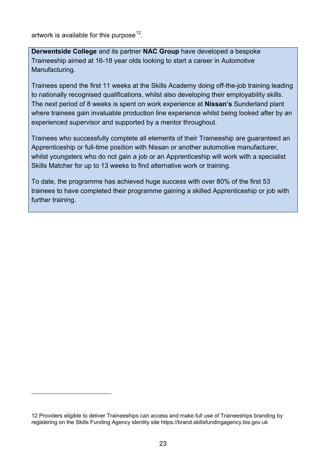artwork is available for this purpose<sup>[12](#page-22-0)</sup>.

 $\overline{a}$ 

**Derwentside College** and its partner **NAC Group** have developed a bespoke Traineeship aimed at 16-18 year olds looking to start a career in Automotive Manufacturing.

Trainees spend the first 11 weeks at the Skills Academy doing off-the-job training leading to nationally recognised qualifications, whilst also developing their employability skills. The next period of 8 weeks is spent on work experience at **Nissan's** Sunderland plant where trainees gain invaluable production line experience whilst being looked after by an experienced supervisor and supported by a mentor throughout.

Trainees who successfully complete all elements of their Traineeship are guaranteed an Apprenticeship or full-time position with Nissan or another automotive manufacturer, whilst youngsters who do not gain a job or an Apprenticeship will work with a specialist Skills Matcher for up to 13 weeks to find alternative work or training.

To date, the programme has achieved huge success with over 80% of the first 53 trainees to have completed their programme gaining a skilled Apprenticeship or job with further training.

<span id="page-22-0"></span><sup>12</sup> Providers eligible to deliver Traineeships can access and make full use of Traineeships branding by registering on the Skills Funding Agency identity site [https://brand.skillsfundingagency.bis.gov.uk](https://brand.skillsfundingagency.bis.gov.uk/)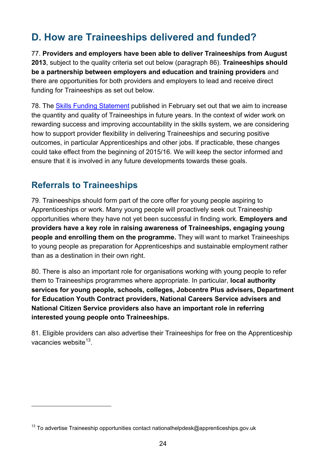# <span id="page-23-0"></span>**D. How are Traineeships delivered and funded?**

77. **Providers and employers have been able to deliver Traineeships from August 2013**, subject to the quality criteria set out below (paragraph 86). **Traineeships should be a partnership between employers and education and training providers** and there are opportunities for both providers and employers to lead and receive direct funding for Traineeships as set out below.

78. The [Skills Funding Statement](https://www.gov.uk/government/publications/skills-funding-statement-2013-to-2016) published in February set out that we aim to increase the quantity and quality of Traineeships in future years. In the context of wider work on rewarding success and improving accountability in the skills system, we are considering how to support provider flexibility in delivering Traineeships and securing positive outcomes, in particular Apprenticeships and other jobs. If practicable, these changes could take effect from the beginning of 2015/16. We will keep the sector informed and ensure that it is involved in any future developments towards these goals.

#### <span id="page-23-1"></span>**Referrals to Traineeships**

 $\overline{a}$ 

79. Traineeships should form part of the core offer for young people aspiring to Apprenticeships or work. Many young people will proactively seek out Traineeship opportunities where they have not yet been successful in finding work. **Employers and providers have a key role in raising awareness of Traineeships, engaging young people and enrolling them on the programme.** They will want to market Traineeships to young people as preparation for Apprenticeships and sustainable employment rather than as a destination in their own right.

80. There is also an important role for organisations working with young people to refer them to Traineeships programmes where appropriate. In particular, **local authority services for young people, schools, colleges, Jobcentre Plus advisers, Department for Education Youth Contract providers, National Careers Service advisers and National Citizen Service providers also have an important role in referring interested young people onto Traineeships.**

81. Eligible providers can also advertise their Traineeships for free on the Apprenticeship vacancies website $13$ .

<span id="page-23-2"></span> $13$  To advertise Traineeship opportunities contact [nationalhelpdesk@apprenticeships.gov.uk](mailto:nationalhelpdesk@apprenticeships.gov.uk)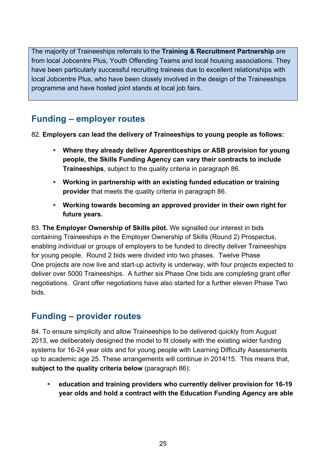The majority of Traineeships referrals to the **Training & Recruitment Partnership** are from local Jobcentre Plus, Youth Offending Teams and local housing associations. They have been particularly successful recruiting trainees due to excellent relationships with local Jobcentre Plus, who have been closely involved in the design of the Traineeships programme and have hosted joint stands at local job fairs.

## <span id="page-24-0"></span>**Funding – employer routes**

82. **Employers can lead the delivery of Traineeships to young people as follows:**

- **Where they already deliver Apprenticeships or ASB provision for young people, the Skills Funding Agency can vary their contracts to include Traineeships**, subject to the quality criteria in paragraph 86.
- **Working in partnership with an existing funded education or training provider** that meets the quality criteria in paragraph 86.
- **Working towards becoming an approved provider in their own right for future years.**

83. **The Employer Ownership of Skills pilot.** We signalled our interest in bids containing Traineeships in the Employer Ownership of Skills (Round 2) Prospectus, enabling individual or groups of employers to be funded to directly deliver Traineeships for young people. Round 2 bids were divided into two phases. Twelve Phase One projects are now live and start-up activity is underway, with four projects expected to deliver over 5000 Traineeships. A further six Phase One bids are completing grant offer negotiations. Grant offer negotiations have also started for a further eleven Phase Two bids.

#### <span id="page-24-1"></span>**Funding – provider routes**

84. To ensure simplicity and allow Traineeships to be delivered quickly from August 2013, we deliberately designed the model to fit closely with the existing wider funding systems for 16-24 year olds and for young people with Learning Difficulty Assessments up to academic age 25. These arrangements will continue in 2014/15. This means that, **subject to the quality criteria below** (paragraph 86):

 **education and training providers who currently deliver provision for 16-19 year olds and hold a contract with the Education Funding Agency are able**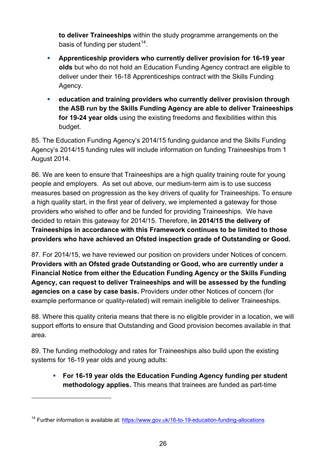**to deliver Traineeships** within the study programme arrangements on the basis of funding per student<sup>[14](#page-25-0)</sup>.

- **Apprenticeship providers who currently deliver provision for 16-19 year olds** but who do not hold an Education Funding Agency contract are eligible to deliver under their 16-18 Apprenticeships contract with the Skills Funding Agency.
- **education and training providers who currently deliver provision through the ASB run by the Skills Funding Agency are able to deliver Traineeships for 19-24 year olds** using the existing freedoms and flexibilities within this budget.

85. The Education Funding Agency's 2014/15 funding guidance and the Skills Funding Agency's 2014/15 funding rules will include information on funding Traineeships from 1 August 2014.

86. We are keen to ensure that Traineeships are a high quality training route for young people and employers. As set out above, our medium-term aim is to use success measures based on progression as the key drivers of quality for Traineeships. To ensure a high quality start, in the first year of delivery, we implemented a gateway for those providers who wished to offer and be funded for providing Traineeships. We have decided to retain this gateway for 2014/15. Therefore, **in 2014/15 the delivery of Traineeships in accordance with this Framework continues to be limited to those providers who have achieved an Ofsted inspection grade of Outstanding or Good.** 

87. For 2014/15, we have reviewed our position on providers under Notices of concern. **Providers with an Ofsted grade Outstanding or Good, who are currently under a Financial Notice from either the Education Funding Agency or the Skills Funding Agency, can request to deliver Traineeships and will be assessed by the funding agencies on a case by case basis.** Providers under other Notices of concern (for example performance or quality-related) will remain ineligible to deliver Traineeships.

88. Where this quality criteria means that there is no eligible provider in a location, we will support efforts to ensure that Outstanding and Good provision becomes available in that area.

89. The funding methodology and rates for Traineeships also build upon the existing systems for 16-19 year olds and young adults:

 **For 16-19 year olds the Education Funding Agency funding per student methodology applies.** This means that trainees are funded as part-time

 $\overline{a}$ 

<span id="page-25-0"></span><sup>&</sup>lt;sup>14</sup> Further information is available at:<https://www.gov.uk/16-to-19-education-funding-allocations>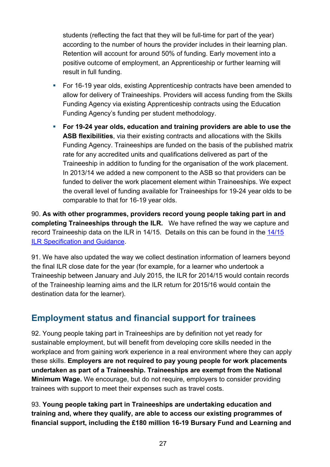students (reflecting the fact that they will be full-time for part of the year) according to the number of hours the provider includes in their learning plan. Retention will account for around 50% of funding. Early movement into a positive outcome of employment, an Apprenticeship or further learning will result in full funding.

- For 16-19 year olds, existing Apprenticeship contracts have been amended to allow for delivery of Traineeships. Providers will access funding from the Skills Funding Agency via existing Apprenticeship contracts using the Education Funding Agency's funding per student methodology.
- **For 19-24 year olds, education and training providers are able to use the ASB flexibilities**, via their existing contracts and allocations with the Skills Funding Agency. Traineeships are funded on the basis of the published matrix rate for any accredited units and qualifications delivered as part of the Traineeship in addition to funding for the organisation of the work placement. In 2013/14 we added a new component to the ASB so that providers can be funded to deliver the work placement element within Traineeships. We expect the overall level of funding available for Traineeships for 19-24 year olds to be comparable to that for 16-19 year olds.

90. **As with other programmes, providers record young people taking part in and completing Traineeships through the ILR.** We have refined the way we capture and record Traineeship data on the ILR in 14/15. Details on this can be found in the [14/15](https://www.gov.uk/government/publications/ilr-specification-validation-rules-and-appendices-2014-to-2015)  [ILR Specification and Guidance.](https://www.gov.uk/government/publications/ilr-specification-validation-rules-and-appendices-2014-to-2015)

91. We have also updated the way we collect destination information of learners beyond the final ILR close date for the year (for example, for a learner who undertook a Traineeship between January and July 2015, the ILR for 2014/15 would contain records of the Traineeship learning aims and the ILR return for 2015/16 would contain the destination data for the learner).

## <span id="page-26-0"></span>**Employment status and financial support for trainees**

92. Young people taking part in Traineeships are by definition not yet ready for sustainable employment, but will benefit from developing core skills needed in the workplace and from gaining work experience in a real environment where they can apply these skills. **Employers are not required to pay young people for work placements undertaken as part of a Traineeship. Traineeships are exempt from the National Minimum Wage.** We encourage, but do not require, employers to consider providing trainees with support to meet their expenses such as travel costs.

93. **Young people taking part in Traineeships are undertaking education and training and, where they qualify, are able to access our existing programmes of financial support, including the £180 million 16-19 Bursary Fund and Learning and**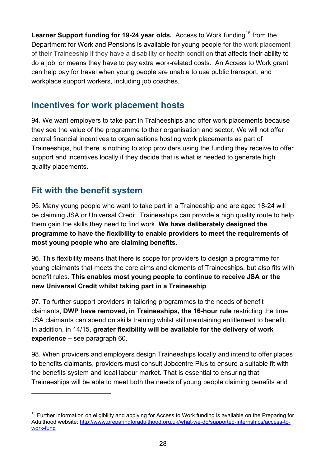Learner Support funding for 19-24 year olds. Access to Work funding<sup>[15](#page-27-2)</sup> from the Department for Work and Pensions is available for young people for the work placement of their Traineeship if they have a disability or health condition that affects their ability to do a job, or means they have to pay extra work-related costs. An Access to Work grant can help pay for travel when young people are unable to use public transport, and workplace support workers, including job coaches.

#### <span id="page-27-0"></span>**Incentives for work placement hosts**

94. We want employers to take part in Traineeships and offer work placements because they see the value of the programme to their organisation and sector. We will not offer central financial incentives to organisations hosting work placements as part of Traineeships, but there is nothing to stop providers using the funding they receive to offer support and incentives locally if they decide that is what is needed to generate high quality placements.

#### <span id="page-27-1"></span>**Fit with the benefit system**

 $\overline{a}$ 

95. Many young people who want to take part in a Traineeship and are aged 18-24 will be claiming JSA or Universal Credit. Traineeships can provide a high quality route to help them gain the skills they need to find work. **We have deliberately designed the programme to have the flexibility to enable providers to meet the requirements of most young people who are claiming benefits**.

96. This flexibility means that there is scope for providers to design a programme for young claimants that meets the core aims and elements of Traineeships, but also fits with benefit rules. **This enables most young people to continue to receive JSA or the new Universal Credit whilst taking part in a Traineeship**.

97. To further support providers in tailoring programmes to the needs of benefit claimants, **DWP have removed, in Traineeships, the 16-hour rule** restricting the time JSA claimants can spend on skills training whilst still maintaining entitlement to benefit. In addition, in 14/15, **greater flexibility will be available for the delivery of work experience –** see paragraph 60.

98. When providers and employers design Traineeships locally and intend to offer places to benefits claimants, providers must consult Jobcentre Plus to ensure a suitable fit with the benefits system and local labour market. That is essential to ensuring that Traineeships will be able to meet both the needs of young people claiming benefits and

<span id="page-27-2"></span><sup>&</sup>lt;sup>15</sup> Further information on eligibility and applying for Access to Work funding is available on the Preparing for Adulthood website: [http://www.preparingforadulthood.org.uk/what-we-do/supported-internships/access-to](http://www.preparingforadulthood.org.uk/what-we-do/supported-internships/access-to-work-fund)[work-fund](http://www.preparingforadulthood.org.uk/what-we-do/supported-internships/access-to-work-fund)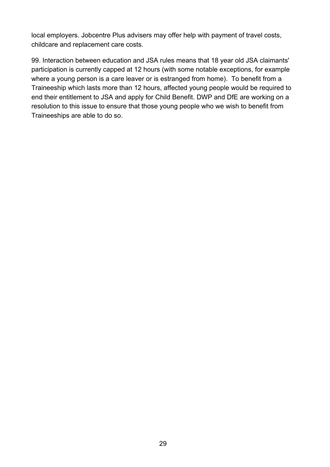local employers. Jobcentre Plus advisers may offer help with payment of travel costs, childcare and replacement care costs.

99. Interaction between education and JSA rules means that 18 year old JSA claimants' participation is currently capped at 12 hours (with some notable exceptions, for example where a young person is a care leaver or is estranged from home). To benefit from a Traineeship which lasts more than 12 hours, affected young people would be required to end their entitlement to JSA and apply for Child Benefit. DWP and DfE are working on a resolution to this issue to ensure that those young people who we wish to benefit from Traineeships are able to do so.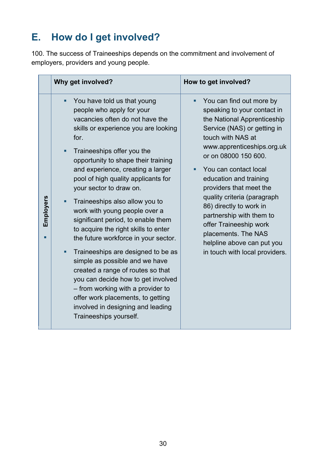# <span id="page-29-0"></span>**E. How do I get involved?**

100. The success of Traineeships depends on the commitment and involvement of employers, providers and young people.

|           | Why get involved?                                                                                                                                                                                                                                                                                                                                                                                                                                                                                                                                                                                                                                                                                                                                                                                                      | How to get involved?                                                                                                                                                                                                                                                                                                                                                                                                                                                                  |
|-----------|------------------------------------------------------------------------------------------------------------------------------------------------------------------------------------------------------------------------------------------------------------------------------------------------------------------------------------------------------------------------------------------------------------------------------------------------------------------------------------------------------------------------------------------------------------------------------------------------------------------------------------------------------------------------------------------------------------------------------------------------------------------------------------------------------------------------|---------------------------------------------------------------------------------------------------------------------------------------------------------------------------------------------------------------------------------------------------------------------------------------------------------------------------------------------------------------------------------------------------------------------------------------------------------------------------------------|
| Employers | You have told us that young<br>people who apply for your<br>vacancies often do not have the<br>skills or experience you are looking<br>for.<br>Traineeships offer you the<br>٠<br>opportunity to shape their training<br>and experience, creating a larger<br>pool of high quality applicants for<br>your sector to draw on.<br>Traineeships also allow you to<br>work with young people over a<br>significant period, to enable them<br>to acquire the right skills to enter<br>the future workforce in your sector.<br>Traineeships are designed to be as<br>٠<br>simple as possible and we have<br>created a range of routes so that<br>you can decide how to get involved<br>- from working with a provider to<br>offer work placements, to getting<br>involved in designing and leading<br>Traineeships yourself. | You can find out more by<br>speaking to your contact in<br>the National Apprenticeship<br>Service (NAS) or getting in<br>touch with NAS at<br>www.apprenticeships.org.uk<br>or on 08000 150 600.<br>You can contact local<br>education and training<br>providers that meet the<br>quality criteria (paragraph<br>86) directly to work in<br>partnership with them to<br>offer Traineeship work<br>placements. The NAS<br>helpline above can put you<br>in touch with local providers. |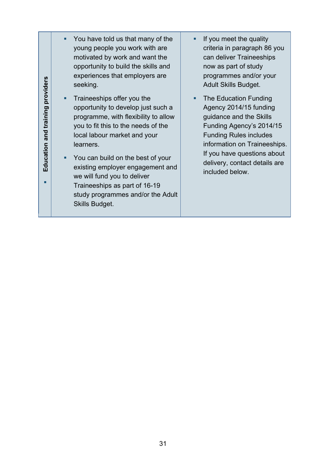| providers                         | You have told us that many of the<br>young people you work with are<br>motivated by work and want the<br>opportunity to build the skills and<br>experiences that employers are<br>seeking.                                                                                                                                                                                                   | ■ | If you meet the quality<br>criteria in paragraph 86 you<br>can deliver Traineeships<br>now as part of study<br>programmes and/or your<br><b>Adult Skills Budget.</b>                                                                                       |
|-----------------------------------|----------------------------------------------------------------------------------------------------------------------------------------------------------------------------------------------------------------------------------------------------------------------------------------------------------------------------------------------------------------------------------------------|---|------------------------------------------------------------------------------------------------------------------------------------------------------------------------------------------------------------------------------------------------------------|
| training<br>and<br>ducation<br>ய் | Traineeships offer you the<br>opportunity to develop just such a<br>programme, with flexibility to allow<br>you to fit this to the needs of the<br>local labour market and your<br>learners.<br>You can build on the best of your<br>existing employer engagement and<br>we will fund you to deliver<br>Traineeships as part of 16-19<br>study programmes and/or the Adult<br>Skills Budget. | п | The Education Funding<br>Agency 2014/15 funding<br>guidance and the Skills<br>Funding Agency's 2014/15<br><b>Funding Rules includes</b><br>information on Traineeships.<br>If you have questions about<br>delivery, contact details are<br>included below. |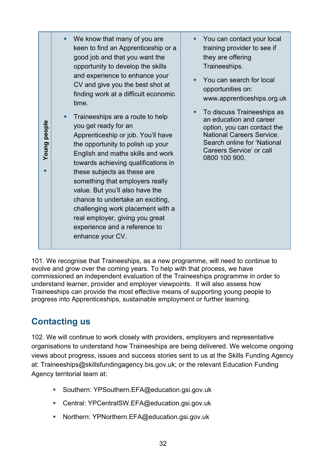101. We recognise that Traineeships, as a new programme, will need to continue to evolve and grow over the coming years. To help with that process, we have commissioned an independent evaluation of the Traineeships programme in order to understand learner, provider and employer viewpoints. It will also assess how Traineeships can provide the most effective means of supporting young people to progress into Apprenticeships, sustainable employment or further learning.

## <span id="page-31-0"></span>**Contacting us**

102. We will continue to work closely with providers, employers and representative organisations to understand how Traineeships are being delivered. We welcome ongoing views about progress, issues and success stories sent to us at the Skills Funding Agency at: [Traineeships@skillsfundingagency.bis.gov.uk;](mailto:traineeships@skillsfundingagency.bis.gov.uk) or the relevant Education Funding Agency territorial team at:

- **Southern: [YPSouthern.EFA@education.gsi.gov.uk](mailto:YPSouthern.EFA@education.gsi.gov.uk)**
- **Central: [YPCentralSW.EFA@education.gsi.gov.uk](mailto:YPCentralSW.EFA@education.gsi.gov.uk)**
- **Northern: [YPNorthern.EFA@education.gsi.gov.uk](mailto:YPNorthern.EFA@education.gsi.gov.uk)**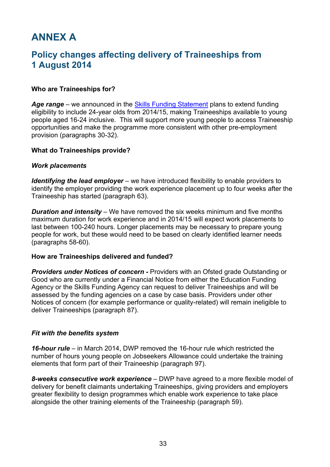# <span id="page-32-0"></span>**ANNEX A**

#### **Policy changes affecting delivery of Traineeships from 1 August 2014**

#### **Who are Traineeships for?**

Age range – we announced in the **Skills Funding Statement** plans to extend funding eligibility to include 24-year olds from 2014/15, making Traineeships available to young people aged 16-24 inclusive. This will support more young people to access Traineeship opportunities and make the programme more consistent with other pre-employment provision (paragraphs 30-32).

#### **What do Traineeships provide?**

#### *Work placements*

*Identifying the lead employer* – we have introduced flexibility to enable providers to identify the employer providing the work experience placement up to four weeks after the Traineeship has started (paragraph 63).

*Duration and intensity* – We have removed the six weeks minimum and five months maximum duration for work experience and in 2014/15 will expect work placements to last between 100-240 hours. Longer placements may be necessary to prepare young people for work, but these would need to be based on clearly identified learner needs (paragraphs 58-60).

#### **How are Traineeships delivered and funded?**

**Providers under Notices of concern -** Providers with an Ofsted grade Outstanding or Good who are currently under a Financial Notice from either the Education Funding Agency or the Skills Funding Agency can request to deliver Traineeships and will be assessed by the funding agencies on a case by case basis. Providers under other Notices of concern (for example performance or quality-related) will remain ineligible to deliver Traineeships (paragraph 87).

#### *Fit with the benefits system*

*16-hour rule* – in March 2014, DWP removed the 16-hour rule which restricted the number of hours young people on Jobseekers Allowance could undertake the training elements that form part of their Traineeship (paragraph 97).

*8-weeks consecutive work experience* – DWP have agreed to a more flexible model of delivery for benefit claimants undertaking Traineeships, giving providers and employers greater flexibility to design programmes which enable work experience to take place alongside the other training elements of the Traineeship (paragraph 59).